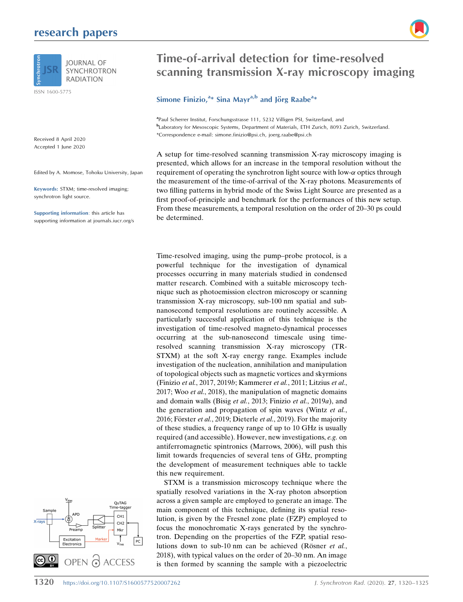## research papers



ISSN 1600-5775

Received 8 April 2020 Accepted 1 June 2020

Edited by A. Momose, Tohoku University, Japan

Keywords: STXM; time-resolved imaging; synchrotron light source.

Supporting information: this article has supporting information at journals.iucr.org/s



# Time-of-arrival detection for time-resolved scanning transmission X-ray microscopy imaging

## Simone Finizio,  $a*$  Sina Mayr $a,b$  and Jörg Raabe $a*$

<sup>a</sup>Paul Scherrer Institut, Forschungsstrasse 111, 5232 Villigen PSI, Switzerland, and <sup>b</sup>Laboratory for Mesoscopic Systems, Department of Materials, ETH Zurich, 8093 Zurich, Switzerland. \*Correspondence e-mail: simone.finizio@psi.ch, joerg.raabe@psi.ch

A setup for time-resolved scanning transmission X-ray microscopy imaging is presented, which allows for an increase in the temporal resolution without the requirement of operating the synchrotron light source with low- $\alpha$  optics through the measurement of the time-of-arrival of the X-ray photons. Measurements of two filling patterns in hybrid mode of the Swiss Light Source are presented as a first proof-of-principle and benchmark for the performances of this new setup. From these measurements, a temporal resolution on the order of 20–30 ps could be determined.

Time-resolved imaging, using the pump–probe protocol, is a powerful technique for the investigation of dynamical processes occurring in many materials studied in condensed matter research. Combined with a suitable microscopy technique such as photoemission electron microscopy or scanning transmission X-ray microscopy, sub-100 nm spatial and subnanosecond temporal resolutions are routinely accessible. A particularly successful application of this technique is the investigation of time-resolved magneto-dynamical processes occurring at the sub-nanosecond timescale using timeresolved scanning transmission X-ray microscopy (TR-STXM) at the soft X-ray energy range. Examples include investigation of the nucleation, annihilation and manipulation of topological objects such as magnetic vortices and skyrmions (Finizio et al., 2017, 2019b; Kammerer et al., 2011; Litzius et al., 2017; Woo et al., 2018), the manipulation of magnetic domains and domain walls (Bisig et al., 2013; Finizio et al., 2019a), and the generation and propagation of spin waves (Wintz et al., 2016; Förster et al., 2019; Dieterle et al., 2019). For the majority of these studies, a frequency range of up to 10 GHz is usually required (and accessible). However, new investigations, e.g. on antiferromagnetic spintronics (Marrows, 2006), will push this limit towards frequencies of several tens of GHz, prompting the development of measurement techniques able to tackle this new requirement.

STXM is a transmission microscopy technique where the spatially resolved variations in the X-ray photon absorption across a given sample are employed to generate an image. The main component of this technique, defining its spatial resolution, is given by the Fresnel zone plate (FZP) employed to focus the monochromatic X-rays generated by the synchrotron. Depending on the properties of the FZP, spatial resolutions down to sub-10 nm can be achieved (Rösner et al., 2018), with typical values on the order of 20–30 nm. An image is then formed by scanning the sample with a piezoelectric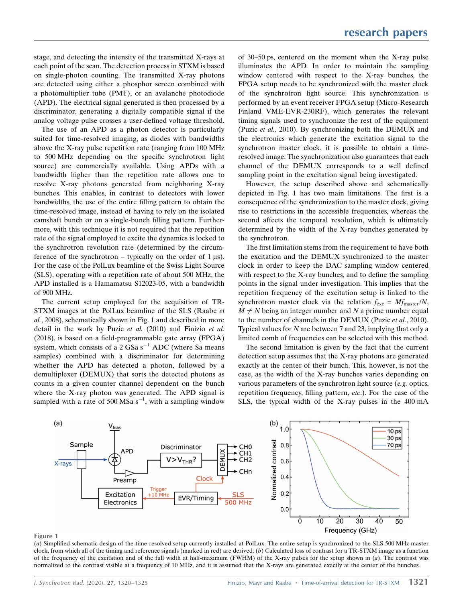stage, and detecting the intensity of the transmitted X-rays at each point of the scan. The detection process in STXM is based on single-photon counting. The transmitted X-ray photons are detected using either a phosphor screen combined with a photomultiplier tube (PMT), or an avalanche photodiode (APD). The electrical signal generated is then processed by a discriminator, generating a digitally compatible signal if the analog voltage pulse crosses a user-defined voltage threshold.

The use of an APD as a photon detector is particularly suited for time-resolved imaging, as diodes with bandwidths above the X-ray pulse repetition rate (ranging from 100 MHz to 500 MHz depending on the specific synchrotron light source) are commercially available. Using APDs with a bandwidth higher than the repetition rate allows one to resolve X-ray photons generated from neighboring X-ray bunches. This enables, in contrast to detectors with lower bandwidths, the use of the entire filling pattern to obtain the time-resolved image, instead of having to rely on the isolated camshaft bunch or on a single-bunch filling pattern. Furthermore, with this technique it is not required that the repetition rate of the signal employed to excite the dynamics is locked to the synchrotron revolution rate (determined by the circumference of the synchrotron – typically on the order of 1  $\mu$ s). For the case of the PolLux beamline of the Swiss Light Source (SLS), operating with a repetition rate of about 500 MHz, the APD installed is a Hamamatsu S12023-05, with a bandwidth of 900 MHz.

The current setup employed for the acquisition of TR-STXM images at the PolLux beamline of the SLS (Raabe et al., 2008), schematically shown in Fig. 1 and described in more detail in the work by Puzic et al. (2010) and Finizio et al. (2018), is based on a field-programmable gate array (FPGA) system, which consists of a  $2$  GSa s<sup>-1</sup> ADC (where Sa means samples) combined with a discriminator for determining whether the APD has detected a photon, followed by a demultiplexer (DEMUX) that sorts the detected photons as counts in a given counter channel dependent on the bunch where the X-ray photon was generated. The APD signal is sampled with a rate of 500 MSa  $s^{-1}$ , with a sampling window

of 30–50 ps, centered on the moment when the X-ray pulse illuminates the APD. In order to maintain the sampling window centered with respect to the X-ray bunches, the FPGA setup needs to be synchronized with the master clock of the synchrotron light source. This synchronization is performed by an event receiver FPGA setup (Micro-Research Finland VME-EVR-230RF), which generates the relevant timing signals used to synchronize the rest of the equipment (Puzic et al., 2010). By synchronizing both the DEMUX and the electronics which generate the excitation signal to the synchrotron master clock, it is possible to obtain a timeresolved image. The synchronization also guarantees that each channel of the DEMUX corresponds to a well defined sampling point in the excitation signal being investigated.

However, the setup described above and schematically depicted in Fig. 1 has two main limitations. The first is a consequence of the synchronization to the master clock, giving rise to restrictions in the accessible frequencies, whereas the second affects the temporal resolution, which is ultimately determined by the width of the X-ray bunches generated by the synchrotron.

The first limitation stems from the requirement to have both the excitation and the DEMUX synchronized to the master clock in order to keep the DAC sampling window centered with respect to the X-ray bunches, and to define the sampling points in the signal under investigation. This implies that the repetition frequency of the excitation setup is linked to the synchrotron master clock via the relation  $f_{\text{exc}} = Mf_{\text{master}}/N$ ,  $M \neq N$  being an integer number and N a prime number equal to the number of channels in the DEMUX (Puzic et al., 2010). Typical values for  $N$  are between 7 and 23, implying that only a limited comb of frequencies can be selected with this method.

The second limitation is given by the fact that the current detection setup assumes that the X-ray photons are generated exactly at the center of their bunch. This, however, is not the case, as the width of the X-ray bunches varies depending on various parameters of the synchrotron light source (e.g. optics, repetition frequency, filling pattern, etc.). For the case of the SLS, the typical width of the X-ray pulses in the 400 mA



#### Figure 1

(a) Simplified schematic design of the time-resolved setup currently installed at PolLux. The entire setup is synchronized to the SLS 500 MHz master clock, from which all of the timing and reference signals (marked in red) are derived. (b) Calculated loss of contrast for a TR-STXM image as a function of the frequency of the excitation and of the full width at half-maximum (FWHM) of the X-ray pulses for the setup shown in  $(a)$ . The contrast was normalized to the contrast visible at a frequency of 10 MHz, and it is assumed that the X-rays are generated exactly at the center of the bunches.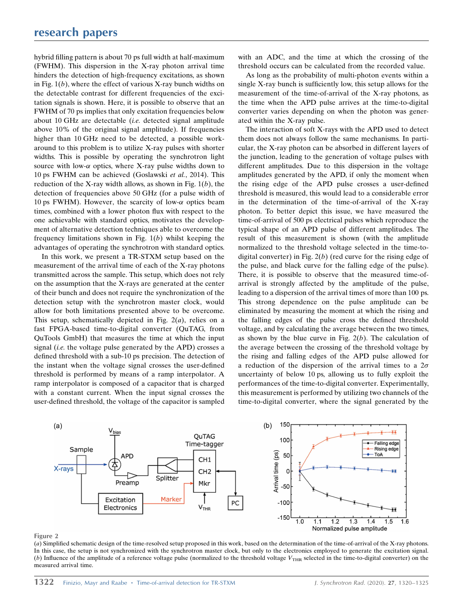hybrid filling pattern is about 70 ps full width at half-maximum (FWHM). This dispersion in the X-ray photon arrival time hinders the detection of high-frequency excitations, as shown in Fig.  $1(b)$ , where the effect of various X-ray bunch widths on the detectable contrast for different frequencies of the excitation signals is shown. Here, it is possible to observe that an FWHM of 70 ps implies that only excitation frequencies below about 10 GHz are detectable (i.e. detected signal amplitude above 10% of the original signal amplitude). If frequencies higher than 10 GHz need to be detected, a possible workaround to this problem is to utilize X-ray pulses with shorter widths. This is possible by operating the synchrotron light source with low- $\alpha$  optics, where X-ray pulse widths down to 10 ps FWHM can be achieved (Goslawski et al., 2014). This reduction of the X-ray width allows, as shown in Fig.  $1(b)$ , the detection of frequencies above 50 GHz (for a pulse width of 10 ps FWHM). However, the scarcity of low- $\alpha$  optics beam times, combined with a lower photon flux with respect to the one achievable with standard optics, motivates the development of alternative detection techniques able to overcome the frequency limitations shown in Fig.  $1(b)$  whilst keeping the advantages of operating the synchrotron with standard optics.

In this work, we present a TR-STXM setup based on the measurement of the arrival time of each of the X-ray photons transmitted across the sample. This setup, which does not rely on the assumption that the X-rays are generated at the center of their bunch and does not require the synchronization of the detection setup with the synchrotron master clock, would allow for both limitations presented above to be overcome. This setup, schematically depicted in Fig.  $2(a)$ , relies on a fast FPGA-based time-to-digital converter (QuTAG, from QuTools GmbH) that measures the time at which the input signal *(i.e.* the voltage pulse generated by the APD) crosses a defined threshold with a sub-10 ps precision. The detection of the instant when the voltage signal crosses the user-defined threshold is performed by means of a ramp interpolator. A ramp interpolator is composed of a capacitor that is charged with a constant current. When the input signal crosses the user-defined threshold, the voltage of the capacitor is sampled with an ADC, and the time at which the crossing of the threshold occurs can be calculated from the recorded value.

As long as the probability of multi-photon events within a single X-ray bunch is sufficiently low, this setup allows for the measurement of the time-of-arrival of the X-ray photons, as the time when the APD pulse arrives at the time-to-digital converter varies depending on when the photon was generated within the X-ray pulse.

The interaction of soft X-rays with the APD used to detect them does not always follow the same mechanisms. In particular, the X-ray photon can be absorbed in different layers of the junction, leading to the generation of voltage pulses with different amplitudes. Due to this dispersion in the voltage amplitudes generated by the APD, if only the moment when the rising edge of the APD pulse crosses a user-defined threshold is measured, this would lead to a considerable error in the determination of the time-of-arrival of the X-ray photon. To better depict this issue, we have measured the time-of-arrival of 500 ps electrical pulses which reproduce the typical shape of an APD pulse of different amplitudes. The result of this measurement is shown (with the amplitude normalized to the threshold voltage selected in the time-todigital converter) in Fig.  $2(b)$  (red curve for the rising edge of the pulse, and black curve for the falling edge of the pulse). There, it is possible to observe that the measured time-ofarrival is strongly affected by the amplitude of the pulse, leading to a dispersion of the arrival times of more than 100 ps. This strong dependence on the pulse amplitude can be eliminated by measuring the moment at which the rising and the falling edges of the pulse cross the defined threshold voltage, and by calculating the average between the two times, as shown by the blue curve in Fig.  $2(b)$ . The calculation of the average between the crossing of the threshold voltage by the rising and falling edges of the APD pulse allowed for a reduction of the dispersion of the arrival times to a  $2\sigma$ uncertainty of below 10 ps, allowing us to fully exploit the performances of the time-to-digital converter. Experimentally, this measurement is performed by utilizing two channels of the time-to-digital converter, where the signal generated by the



#### Figure 2

(a) Simplified schematic design of the time-resolved setup proposed in this work, based on the determination of the time-of-arrival of the X-ray photons. In this case, the setup is not synchronized with the synchrotron master clock, but only to the electronics employed to generate the excitation signal. (b) Influence of the amplitude of a reference voltage pulse (normalized to the threshold voltage  $V_{\text{THR}}$  selected in the time-to-digital converter) on the measured arrival time.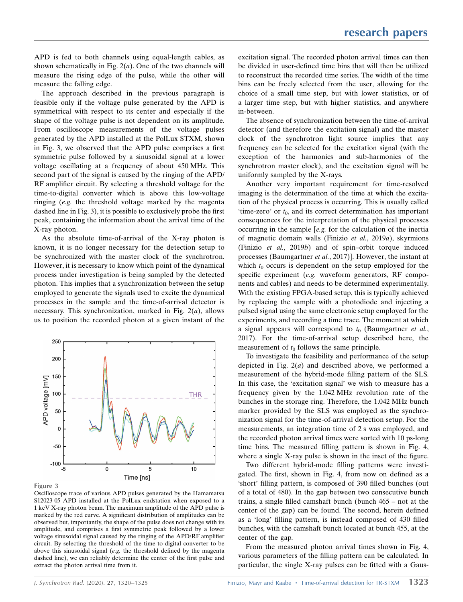APD is fed to both channels using equal-length cables, as shown schematically in Fig.  $2(a)$ . One of the two channels will measure the rising edge of the pulse, while the other will measure the falling edge.

The approach described in the previous paragraph is feasible only if the voltage pulse generated by the APD is symmetrical with respect to its center and especially if the shape of the voltage pulse is not dependent on its amplitude. From oscilloscope measurements of the voltage pulses generated by the APD installed at the PolLux STXM, shown in Fig. 3, we observed that the APD pulse comprises a first symmetric pulse followed by a sinusoidal signal at a lower voltage oscillating at a frequency of about 450 MHz. This second part of the signal is caused by the ringing of the APD/ RF amplifier circuit. By selecting a threshold voltage for the time-to-digital converter which is above this low-voltage ringing (e.g. the threshold voltage marked by the magenta dashed line in Fig. 3), it is possible to exclusively probe the first peak, containing the information about the arrival time of the X-ray photon.

As the absolute time-of-arrival of the X-ray photon is known, it is no longer necessary for the detection setup to be synchronized with the master clock of the synchrotron. However, it is necessary to know which point of the dynamical process under investigation is being sampled by the detected photon. This implies that a synchronization between the setup employed to generate the signals used to excite the dynamical processes in the sample and the time-of-arrival detector is necessary. This synchronization, marked in Fig.  $2(a)$ , allows us to position the recorded photon at a given instant of the



#### Figure 3

Oscilloscope trace of various APD pulses generated by the Hamamatsu S12023-05 APD installed at the PolLux endstation when exposed to a 1 keV X-ray photon beam. The maximum amplitude of the APD pulse is marked by the red curve. A significant distribution of amplitudes can be observed but, importantly, the shape of the pulse does not change with its amplitude, and comprises a first symmetric peak followed by a lower voltage sinusoidal signal caused by the ringing of the APD/RF amplifier circuit. By selecting the threshold of the time-to-digital converter to be above this sinusoidal signal (e.g. the threshold defined by the magenta dashed line), we can reliably determine the center of the first pulse and extract the photon arrival time from it.

excitation signal. The recorded photon arrival times can then be divided in user-defined time bins that will then be utilized to reconstruct the recorded time series. The width of the time bins can be freely selected from the user, allowing for the choice of a small time step, but with lower statistics, or of a larger time step, but with higher statistics, and anywhere in-between.

The absence of synchronization between the time-of-arrival detector (and therefore the excitation signal) and the master clock of the synchrotron light source implies that any frequency can be selected for the excitation signal (with the exception of the harmonics and sub-harmonics of the synchrotron master clock), and the excitation signal will be uniformly sampled by the X-rays.

Another very important requirement for time-resolved imaging is the determination of the time at which the excitation of the physical process is occurring. This is usually called 'time-zero' or  $t_0$ , and its correct determination has important consequences for the interpretation of the physical processes occurring in the sample [e.g. for the calculation of the inertia of magnetic domain walls (Finizio et al., 2019a), skyrmions (Finizio et al., 2019b) and of spin–orbit torque induced processes (Baumgartner et al., 2017)]. However, the instant at which  $t_0$  occurs is dependent on the setup employed for the specific experiment (e.g. waveform generators, RF components and cables) and needs to be determined experimentally. With the existing FPGA-based setup, this is typically achieved by replacing the sample with a photodiode and injecting a pulsed signal using the same electronic setup employed for the experiments, and recording a time trace. The moment at which a signal appears will correspond to  $t_0$  (Baumgartner et al., 2017). For the time-of-arrival setup described here, the measurement of  $t_0$  follows the same principle.

To investigate the feasibility and performance of the setup depicted in Fig.  $2(a)$  and described above, we performed a measurement of the hybrid-mode filling pattern of the SLS. In this case, the 'excitation signal' we wish to measure has a frequency given by the 1.042 MHz revolution rate of the bunches in the storage ring. Therefore, the 1.042 MHz bunch marker provided by the SLS was employed as the synchronization signal for the time-of-arrival detection setup. For the measurements, an integration time of 2 s was employed, and the recorded photon arrival times were sorted with 10 ps-long time bins. The measured filling pattern is shown in Fig. 4, where a single X-ray pulse is shown in the inset of the figure.

Two different hybrid-mode filling patterns were investigated. The first, shown in Fig. 4, from now on defined as a 'short' filling pattern, is composed of 390 filled bunches (out of a total of 480). In the gap between two consecutive bunch trains, a single filled camshaft bunch (bunch 465 – not at the center of the gap) can be found. The second, herein defined as a 'long' filling pattern, is instead composed of 430 filled bunches, with the camshaft bunch located at bunch 455, at the center of the gap.

From the measured photon arrival times shown in Fig. 4, various parameters of the filling pattern can be calculated. In particular, the single X-ray pulses can be fitted with a Gaus-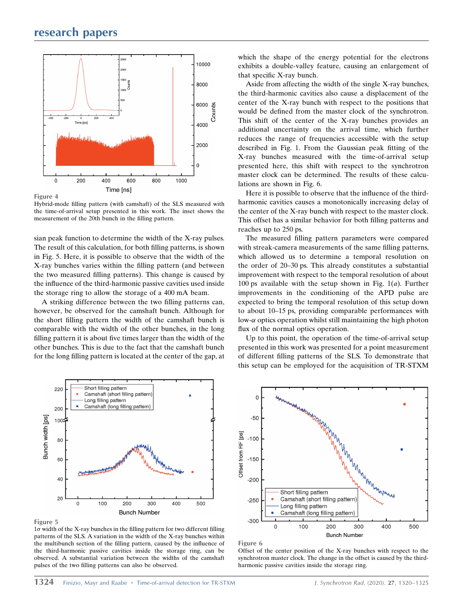

Hybrid-mode filling pattern (with camshaft) of the SLS measured with the time-of-arrival setup presented in this work. The inset shows the measurement of the 20th bunch in the filling pattern.

sian peak function to determine the width of the X-ray pulses. The result of this calculation, for both filling patterns, is shown in Fig. 5. Here, it is possible to observe that the width of the X-ray bunches varies within the filling pattern (and between the two measured filling patterns). This change is caused by the influence of the third-harmonic passive cavities used inside the storage ring to allow the storage of a 400 mA beam.

A striking difference between the two filling patterns can, however, be observed for the camshaft bunch. Although for the short filling pattern the width of the camshaft bunch is comparable with the width of the other bunches, in the long filling pattern it is about five times larger than the width of the other bunches. This is due to the fact that the camshaft bunch for the long filling pattern is located at the center of the gap, at



Figure 5

 $1\sigma$  width of the X-ray bunches in the filling pattern for two different filling patterns of the SLS. A variation in the width of the X-ray bunches within the multibunch section of the filling pattern, caused by the influence of the third-harmonic passive cavities inside the storage ring, can be observed. A substantial variation between the widths of the camshaft pulses of the two filling patterns can also be observed.

which the shape of the energy potential for the electrons exhibits a double-valley feature, causing an enlargement of that specific X-ray bunch.

Aside from affecting the width of the single X-ray bunches, the third-harmonic cavities also cause a displacement of the center of the X-ray bunch with respect to the positions that would be defined from the master clock of the synchrotron. This shift of the center of the X-ray bunches provides an additional uncertainty on the arrival time, which further reduces the range of frequencies accessible with the setup described in Fig. 1. From the Gaussian peak fitting of the X-ray bunches measured with the time-of-arrival setup presented here, this shift with respect to the synchrotron master clock can be determined. The results of these calculations are shown in Fig. 6.

Here it is possible to observe that the influence of the thirdharmonic cavities causes a monotonically increasing delay of the center of the X-ray bunch with respect to the master clock. This offset has a similar behavior for both filling patterns and reaches up to 250 ps.

The measured filling pattern parameters were compared with streak-camera measurements of the same filling patterns, which allowed us to determine a temporal resolution on the order of 20–30 ps. This already constitutes a substantial improvement with respect to the temporal resolution of about 100 ps available with the setup shown in Fig.  $1(a)$ . Further improvements in the conditioning of the APD pulse are expected to bring the temporal resolution of this setup down to about 10–15 ps, providing comparable performances with low- $\alpha$  optics operation whilst still maintaining the high photon flux of the normal optics operation.

Up to this point, the operation of the time-of-arrival setup presented in this work was presented for a point measurement of different filling patterns of the SLS. To demonstrate that this setup can be employed for the acquisition of TR-STXM



Figure 6

Offset of the center position of the X-ray bunches with respect to the synchrotron master clock. The change in the offset is caused by the thirdharmonic passive cavities inside the storage ring.